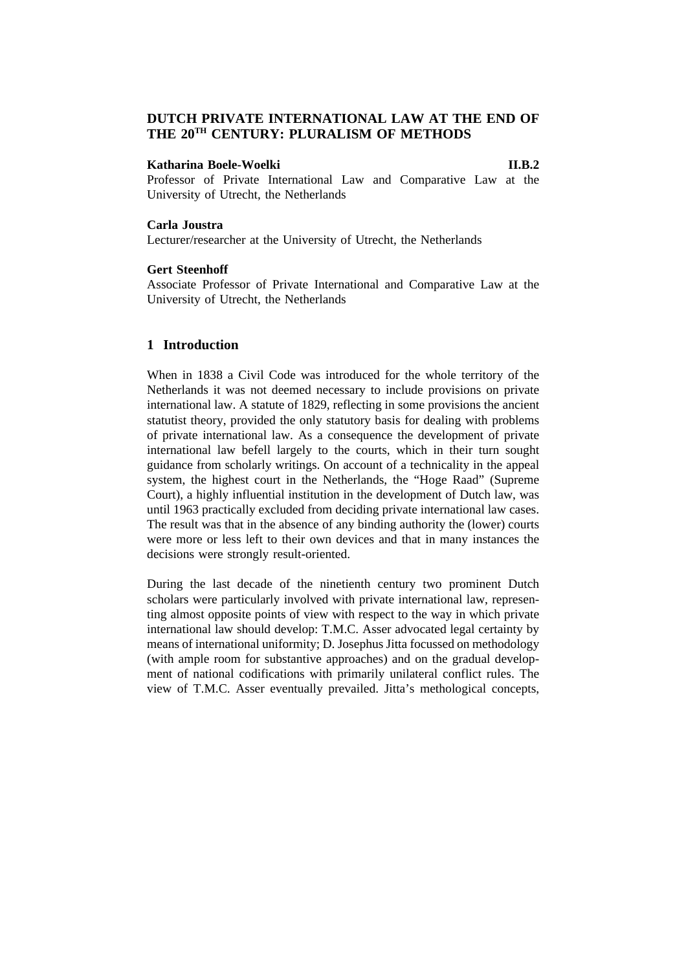# **DUTCH PRIVATE INTERNATIONAL LAW AT THE END OF THE 20TH CENTURY: PLURALISM OF METHODS**

### **Katharina Boele-Woelki II.B.2**

Professor of Private International Law and Comparative Law at the University of Utrecht, the Netherlands

# **Carla Joustra**

Lecturer/researcher at the University of Utrecht, the Netherlands

# **Gert Steenhoff**

Associate Professor of Private International and Comparative Law at the University of Utrecht, the Netherlands

## **1 Introduction**

When in 1838 a Civil Code was introduced for the whole territory of the Netherlands it was not deemed necessary to include provisions on private international law. A statute of 1829, reflecting in some provisions the ancient statutist theory, provided the only statutory basis for dealing with problems of private international law. As a consequence the development of private international law befell largely to the courts, which in their turn sought guidance from scholarly writings. On account of a technicality in the appeal system, the highest court in the Netherlands, the "Hoge Raad" (Supreme Court), a highly influential institution in the development of Dutch law, was until 1963 practically excluded from deciding private international law cases. The result was that in the absence of any binding authority the (lower) courts were more or less left to their own devices and that in many instances the decisions were strongly result-oriented.

During the last decade of the ninetienth century two prominent Dutch scholars were particularly involved with private international law, representing almost opposite points of view with respect to the way in which private international law should develop: T.M.C. Asser advocated legal certainty by means of international uniformity; D. Josephus Jitta focussed on methodology (with ample room for substantive approaches) and on the gradual development of national codifications with primarily unilateral conflict rules. The view of T.M.C. Asser eventually prevailed. Jitta's methological concepts,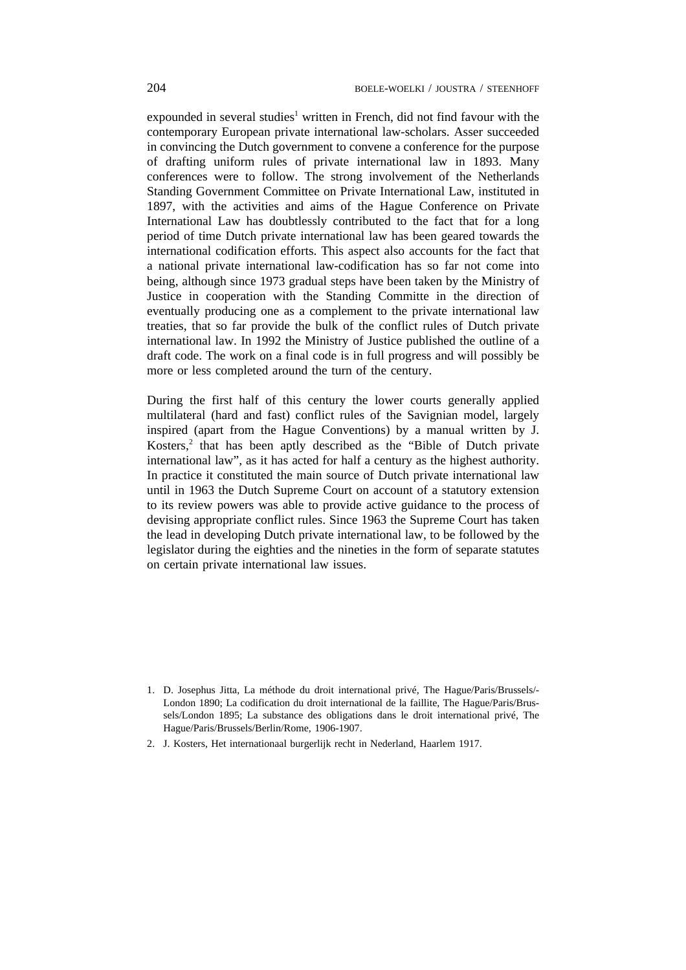expounded in several studies<sup>1</sup> written in French, did not find favour with the contemporary European private international law-scholars. Asser succeeded in convincing the Dutch government to convene a conference for the purpose of drafting uniform rules of private international law in 1893. Many conferences were to follow. The strong involvement of the Netherlands Standing Government Committee on Private International Law, instituted in 1897, with the activities and aims of the Hague Conference on Private International Law has doubtlessly contributed to the fact that for a long period of time Dutch private international law has been geared towards the international codification efforts. This aspect also accounts for the fact that a national private international law-codification has so far not come into being, although since 1973 gradual steps have been taken by the Ministry of Justice in cooperation with the Standing Committe in the direction of eventually producing one as a complement to the private international law treaties, that so far provide the bulk of the conflict rules of Dutch private international law. In 1992 the Ministry of Justice published the outline of a draft code. The work on a final code is in full progress and will possibly be more or less completed around the turn of the century.

During the first half of this century the lower courts generally applied multilateral (hard and fast) conflict rules of the Savignian model, largely inspired (apart from the Hague Conventions) by a manual written by J. Kosters,<sup>2</sup> that has been aptly described as the "Bible of Dutch private international law", as it has acted for half a century as the highest authority. In practice it constituted the main source of Dutch private international law until in 1963 the Dutch Supreme Court on account of a statutory extension to its review powers was able to provide active guidance to the process of devising appropriate conflict rules. Since 1963 the Supreme Court has taken the lead in developing Dutch private international law, to be followed by the legislator during the eighties and the nineties in the form of separate statutes on certain private international law issues.

2. J. Kosters, Het internationaal burgerlijk recht in Nederland, Haarlem 1917.

<sup>1.</sup> D. Josephus Jitta, La méthode du droit international privé, The Hague/Paris/Brussels/- London 1890; La codification du droit international de la faillite, The Hague/Paris/Brussels/London 1895; La substance des obligations dans le droit international privé, The Hague/Paris/Brussels/Berlin/Rome, 1906-1907.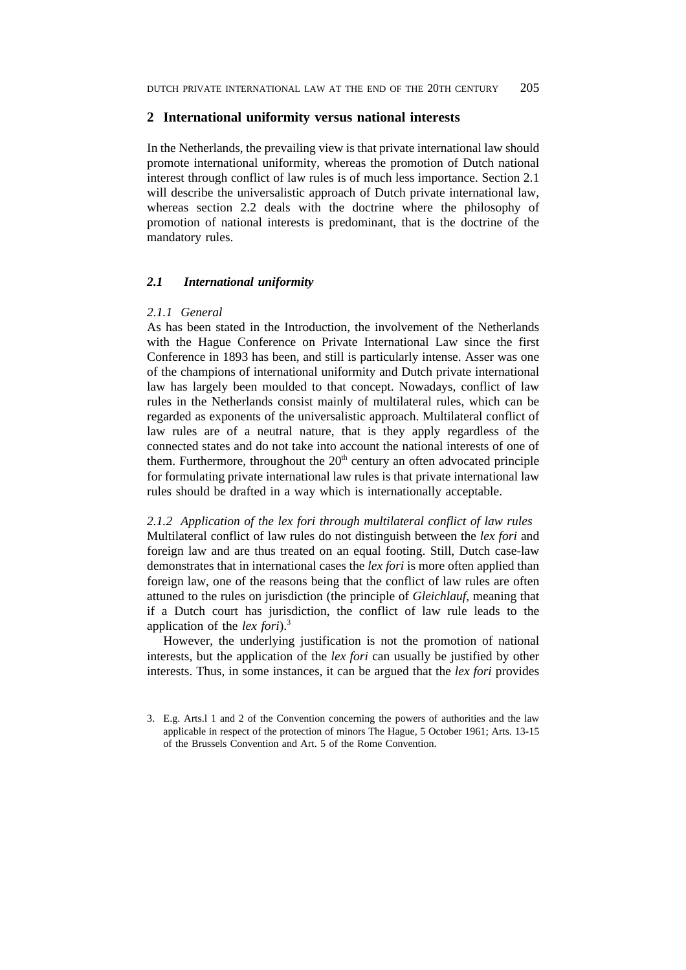### **2 International uniformity versus national interests**

In the Netherlands, the prevailing view is that private international law should promote international uniformity, whereas the promotion of Dutch national interest through conflict of law rules is of much less importance. Section 2.1 will describe the universalistic approach of Dutch private international law, whereas section 2.2 deals with the doctrine where the philosophy of promotion of national interests is predominant, that is the doctrine of the mandatory rules.

# *2.1 International uniformity*

#### *2.1.1 General*

As has been stated in the Introduction, the involvement of the Netherlands with the Hague Conference on Private International Law since the first Conference in 1893 has been, and still is particularly intense. Asser was one of the champions of international uniformity and Dutch private international law has largely been moulded to that concept. Nowadays, conflict of law rules in the Netherlands consist mainly of multilateral rules, which can be regarded as exponents of the universalistic approach. Multilateral conflict of law rules are of a neutral nature, that is they apply regardless of the connected states and do not take into account the national interests of one of them. Furthermore, throughout the  $20<sup>th</sup>$  century an often advocated principle for formulating private international law rules is that private international law rules should be drafted in a way which is internationally acceptable.

*2.1.2 Application of the lex fori through multilateral conflict of law rules* Multilateral conflict of law rules do not distinguish between the *lex fori* and foreign law and are thus treated on an equal footing. Still, Dutch case-law demonstrates that in international cases the *lex fori* is more often applied than foreign law, one of the reasons being that the conflict of law rules are often attuned to the rules on jurisdiction (the principle of *Gleichlauf*, meaning that if a Dutch court has jurisdiction, the conflict of law rule leads to the application of the *lex fori*).3

However, the underlying justification is not the promotion of national interests, but the application of the *lex fori* can usually be justified by other interests. Thus, in some instances, it can be argued that the *lex fori* provides

<sup>3.</sup> E.g. Arts.l 1 and 2 of the Convention concerning the powers of authorities and the law applicable in respect of the protection of minors The Hague, 5 October 1961; Arts. 13-15 of the Brussels Convention and Art. 5 of the Rome Convention.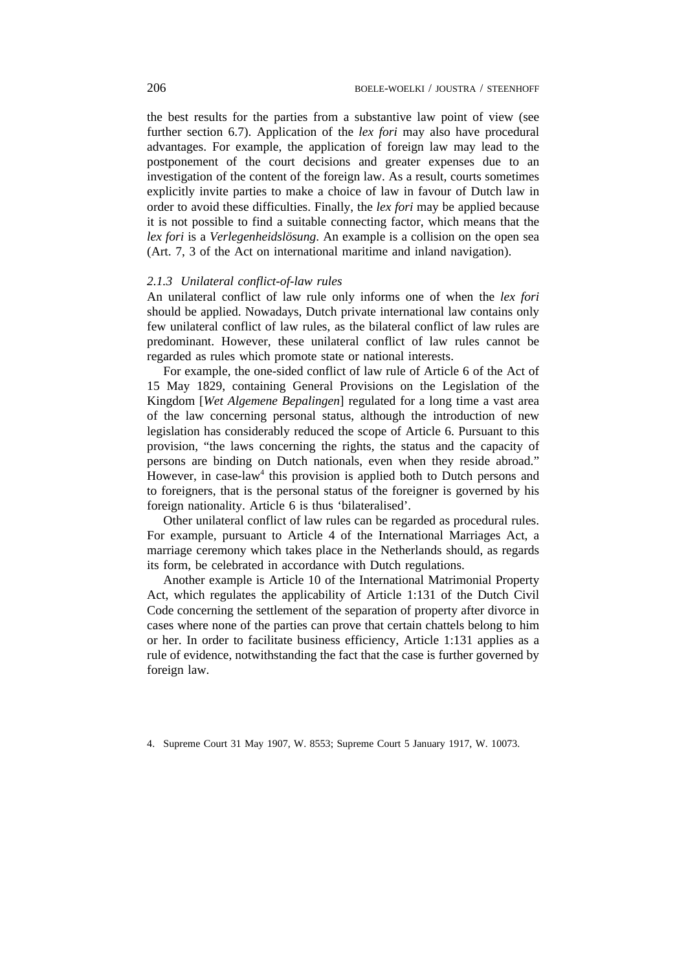the best results for the parties from a substantive law point of view (see further section 6.7). Application of the *lex fori* may also have procedural advantages. For example, the application of foreign law may lead to the postponement of the court decisions and greater expenses due to an investigation of the content of the foreign law. As a result, courts sometimes explicitly invite parties to make a choice of law in favour of Dutch law in order to avoid these difficulties. Finally, the *lex fori* may be applied because it is not possible to find a suitable connecting factor, which means that the *lex fori* is a *Verlegenheidslösung*. An example is a collision on the open sea (Art. 7, 3 of the Act on international maritime and inland navigation).

### *2.1.3 Unilateral conflict-of-law rules*

An unilateral conflict of law rule only informs one of when the *lex fori* should be applied. Nowadays, Dutch private international law contains only few unilateral conflict of law rules, as the bilateral conflict of law rules are predominant. However, these unilateral conflict of law rules cannot be regarded as rules which promote state or national interests.

For example, the one-sided conflict of law rule of Article 6 of the Act of 15 May 1829, containing General Provisions on the Legislation of the Kingdom [*Wet Algemene Bepalingen*] regulated for a long time a vast area of the law concerning personal status, although the introduction of new legislation has considerably reduced the scope of Article 6. Pursuant to this provision, "the laws concerning the rights, the status and the capacity of persons are binding on Dutch nationals, even when they reside abroad." However, in case-law<sup>4</sup> this provision is applied both to Dutch persons and to foreigners, that is the personal status of the foreigner is governed by his foreign nationality. Article 6 is thus 'bilateralised'.

Other unilateral conflict of law rules can be regarded as procedural rules. For example, pursuant to Article 4 of the International Marriages Act, a marriage ceremony which takes place in the Netherlands should, as regards its form, be celebrated in accordance with Dutch regulations.

Another example is Article 10 of the International Matrimonial Property Act, which regulates the applicability of Article 1:131 of the Dutch Civil Code concerning the settlement of the separation of property after divorce in cases where none of the parties can prove that certain chattels belong to him or her. In order to facilitate business efficiency, Article 1:131 applies as a rule of evidence, notwithstanding the fact that the case is further governed by foreign law.

4. Supreme Court 31 May 1907, W. 8553; Supreme Court 5 January 1917, W. 10073.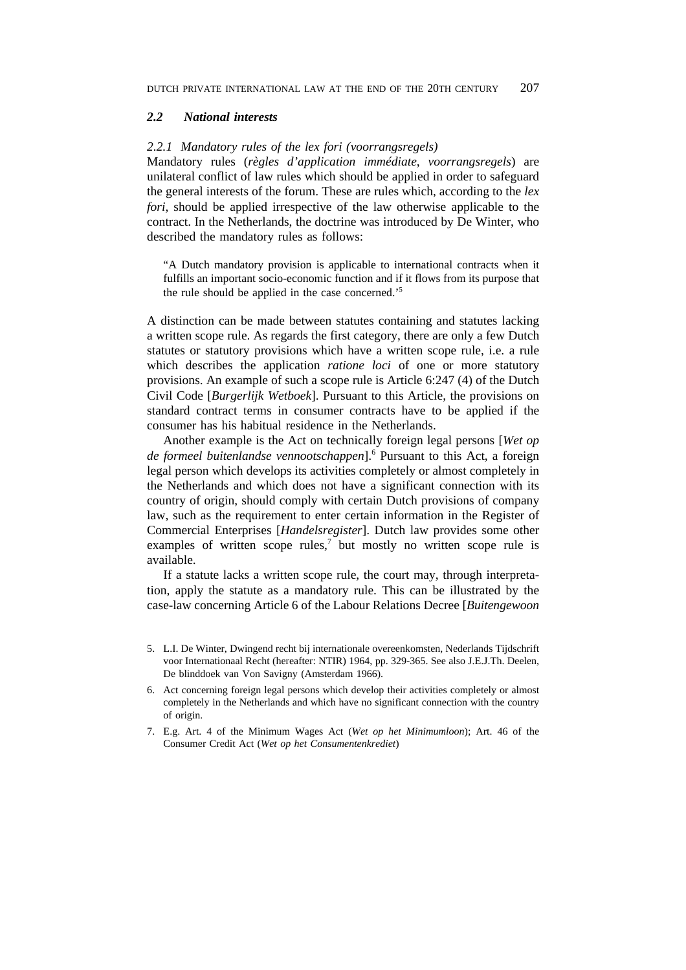#### *2.2 National interests*

### *2.2.1 Mandatory rules of the lex fori (voorrangsregels)*

Mandatory rules (*règles d'application immédiate*, *voorrangsregels*) are unilateral conflict of law rules which should be applied in order to safeguard the general interests of the forum. These are rules which, according to the *lex fori*, should be applied irrespective of the law otherwise applicable to the contract. In the Netherlands, the doctrine was introduced by De Winter, who described the mandatory rules as follows:

"A Dutch mandatory provision is applicable to international contracts when it fulfills an important socio-economic function and if it flows from its purpose that the rule should be applied in the case concerned.'5

A distinction can be made between statutes containing and statutes lacking a written scope rule. As regards the first category, there are only a few Dutch statutes or statutory provisions which have a written scope rule, i.e. a rule which describes the application *ratione loci* of one or more statutory provisions. An example of such a scope rule is Article 6:247 (4) of the Dutch Civil Code [*Burgerlijk Wetboek*]. Pursuant to this Article, the provisions on standard contract terms in consumer contracts have to be applied if the consumer has his habitual residence in the Netherlands.

Another example is the Act on technically foreign legal persons [*Wet op de formeel buitenlandse vennootschappen*].6 Pursuant to this Act, a foreign legal person which develops its activities completely or almost completely in the Netherlands and which does not have a significant connection with its country of origin, should comply with certain Dutch provisions of company law, such as the requirement to enter certain information in the Register of Commercial Enterprises [*Handelsregister*]. Dutch law provides some other examples of written scope rules,<sup>7</sup> but mostly no written scope rule is available.

If a statute lacks a written scope rule, the court may, through interpretation, apply the statute as a mandatory rule. This can be illustrated by the case-law concerning Article 6 of the Labour Relations Decree [*Buitengewoon*

- 5. L.I. De Winter, Dwingend recht bij internationale overeenkomsten, Nederlands Tijdschrift voor Internationaal Recht (hereafter: NTIR) 1964, pp. 329-365. See also J.E.J.Th. Deelen, De blinddoek van Von Savigny (Amsterdam 1966).
- 6. Act concerning foreign legal persons which develop their activities completely or almost completely in the Netherlands and which have no significant connection with the country of origin.
- 7. E.g. Art. 4 of the Minimum Wages Act (*Wet op het Minimumloon*); Art. 46 of the Consumer Credit Act (*Wet op het Consumentenkrediet*)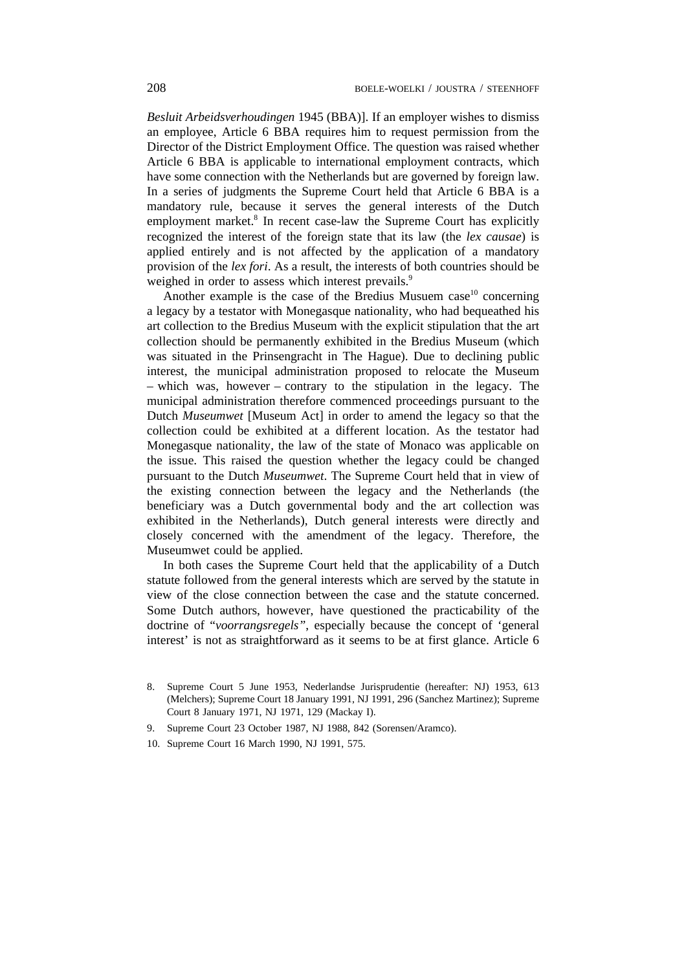*Besluit Arbeidsverhoudingen* 1945 (BBA)]. If an employer wishes to dismiss an employee, Article 6 BBA requires him to request permission from the Director of the District Employment Office. The question was raised whether Article 6 BBA is applicable to international employment contracts, which have some connection with the Netherlands but are governed by foreign law. In a series of judgments the Supreme Court held that Article 6 BBA is a mandatory rule, because it serves the general interests of the Dutch employment market.<sup>8</sup> In recent case-law the Supreme Court has explicitly recognized the interest of the foreign state that its law (the *lex causae*) is applied entirely and is not affected by the application of a mandatory provision of the *lex fori*. As a result, the interests of both countries should be weighed in order to assess which interest prevails.<sup>9</sup>

Another example is the case of the Bredius Musuem case $10$  concerning a legacy by a testator with Monegasque nationality, who had bequeathed his art collection to the Bredius Museum with the explicit stipulation that the art collection should be permanently exhibited in the Bredius Museum (which was situated in the Prinsengracht in The Hague). Due to declining public interest, the municipal administration proposed to relocate the Museum – which was, however – contrary to the stipulation in the legacy. The municipal administration therefore commenced proceedings pursuant to the Dutch *Museumwet* [Museum Act] in order to amend the legacy so that the collection could be exhibited at a different location. As the testator had Monegasque nationality, the law of the state of Monaco was applicable on the issue. This raised the question whether the legacy could be changed pursuant to the Dutch *Museumwet*. The Supreme Court held that in view of the existing connection between the legacy and the Netherlands (the beneficiary was a Dutch governmental body and the art collection was exhibited in the Netherlands), Dutch general interests were directly and closely concerned with the amendment of the legacy. Therefore, the Museumwet could be applied.

In both cases the Supreme Court held that the applicability of a Dutch statute followed from the general interests which are served by the statute in view of the close connection between the case and the statute concerned. Some Dutch authors, however, have questioned the practicability of the doctrine of "*voorrangsregels"*, especially because the concept of 'general interest' is not as straightforward as it seems to be at first glance. Article 6

- 9. Supreme Court 23 October 1987, NJ 1988, 842 (Sorensen/Aramco).
- 10. Supreme Court 16 March 1990, NJ 1991, 575.

<sup>8.</sup> Supreme Court 5 June 1953, Nederlandse Jurisprudentie (hereafter: NJ) 1953, 613 (Melchers); Supreme Court 18 January 1991, NJ 1991, 296 (Sanchez Martinez); Supreme Court 8 January 1971, NJ 1971, 129 (Mackay I).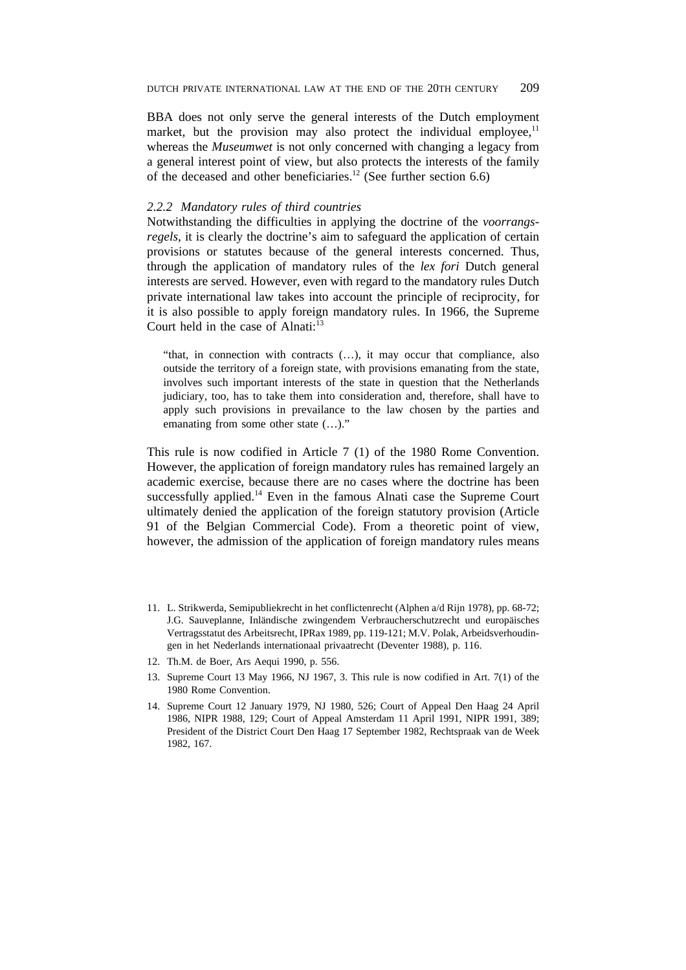BBA does not only serve the general interests of the Dutch employment market, but the provision may also protect the individual employee, $<sup>11</sup>$ </sup> whereas the *Museumwet* is not only concerned with changing a legacy from a general interest point of view, but also protects the interests of the family of the deceased and other beneficiaries.<sup>12</sup> (See further section 6.6)

### *2.2.2 Mandatory rules of third countries*

Notwithstanding the difficulties in applying the doctrine of the *voorrangsregels*, it is clearly the doctrine's aim to safeguard the application of certain provisions or statutes because of the general interests concerned. Thus, through the application of mandatory rules of the *lex fori* Dutch general interests are served. However, even with regard to the mandatory rules Dutch private international law takes into account the principle of reciprocity, for it is also possible to apply foreign mandatory rules. In 1966, the Supreme Court held in the case of Alnati: $13$ 

"that, in connection with contracts (…), it may occur that compliance, also outside the territory of a foreign state, with provisions emanating from the state, involves such important interests of the state in question that the Netherlands judiciary, too, has to take them into consideration and, therefore, shall have to apply such provisions in prevailance to the law chosen by the parties and emanating from some other state  $(\dots)$ ."

This rule is now codified in Article 7 (1) of the 1980 Rome Convention. However, the application of foreign mandatory rules has remained largely an academic exercise, because there are no cases where the doctrine has been successfully applied.<sup>14</sup> Even in the famous Alnati case the Supreme Court ultimately denied the application of the foreign statutory provision (Article 91 of the Belgian Commercial Code). From a theoretic point of view, however, the admission of the application of foreign mandatory rules means

- 11. L. Strikwerda, Semipubliekrecht in het conflictenrecht (Alphen a/d Rijn 1978), pp. 68-72; J.G. Sauveplanne, Inländische zwingendem Verbraucherschutzrecht und europäisches Vertragsstatut des Arbeitsrecht, IPRax 1989, pp. 119-121; M.V. Polak, Arbeidsverhoudingen in het Nederlands internationaal privaatrecht (Deventer 1988), p. 116.
- 12. Th.M. de Boer, Ars Aequi 1990, p. 556.
- 13. Supreme Court 13 May 1966, NJ 1967, 3. This rule is now codified in Art. 7(1) of the 1980 Rome Convention.
- 14. Supreme Court 12 January 1979, NJ 1980, 526; Court of Appeal Den Haag 24 April 1986, NIPR 1988, 129; Court of Appeal Amsterdam 11 April 1991, NIPR 1991, 389; President of the District Court Den Haag 17 September 1982, Rechtspraak van de Week 1982, 167.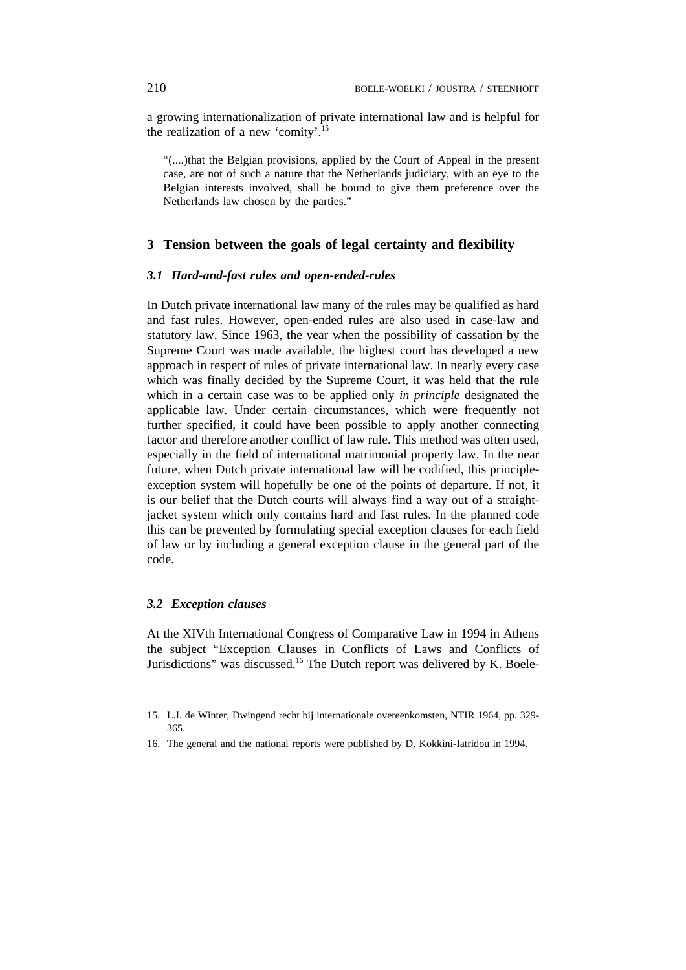a growing internationalization of private international law and is helpful for the realization of a new 'comity'.15

"(....)that the Belgian provisions, applied by the Court of Appeal in the present case, are not of such a nature that the Netherlands judiciary, with an eye to the Belgian interests involved, shall be bound to give them preference over the Netherlands law chosen by the parties."

## **3 Tension between the goals of legal certainty and flexibility**

### *3.1 Hard-and-fast rules and open-ended-rules*

In Dutch private international law many of the rules may be qualified as hard and fast rules. However, open-ended rules are also used in case-law and statutory law. Since 1963, the year when the possibility of cassation by the Supreme Court was made available, the highest court has developed a new approach in respect of rules of private international law. In nearly every case which was finally decided by the Supreme Court, it was held that the rule which in a certain case was to be applied only *in principle* designated the applicable law. Under certain circumstances, which were frequently not further specified, it could have been possible to apply another connecting factor and therefore another conflict of law rule. This method was often used, especially in the field of international matrimonial property law. In the near future, when Dutch private international law will be codified, this principleexception system will hopefully be one of the points of departure. If not, it is our belief that the Dutch courts will always find a way out of a straightjacket system which only contains hard and fast rules. In the planned code this can be prevented by formulating special exception clauses for each field of law or by including a general exception clause in the general part of the code.

## *3.2 Exception clauses*

At the XIVth International Congress of Comparative Law in 1994 in Athens the subject "Exception Clauses in Conflicts of Laws and Conflicts of Jurisdictions" was discussed.16 The Dutch report was delivered by K. Boele-

<sup>15.</sup> L.I. de Winter, Dwingend recht bij internationale overeenkomsten, NTIR 1964, pp. 329- 365.

<sup>16.</sup> The general and the national reports were published by D. Kokkini-Iatridou in 1994.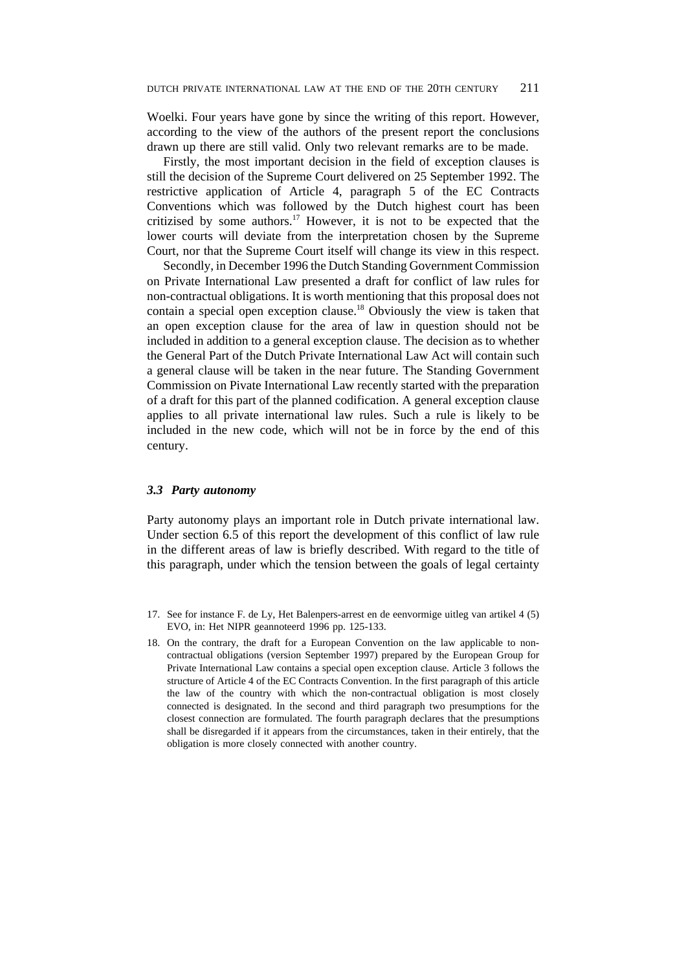Woelki. Four years have gone by since the writing of this report. However, according to the view of the authors of the present report the conclusions drawn up there are still valid. Only two relevant remarks are to be made.

Firstly, the most important decision in the field of exception clauses is still the decision of the Supreme Court delivered on 25 September 1992. The restrictive application of Article 4, paragraph 5 of the EC Contracts Conventions which was followed by the Dutch highest court has been critizised by some authors.<sup>17</sup> However, it is not to be expected that the lower courts will deviate from the interpretation chosen by the Supreme Court, nor that the Supreme Court itself will change its view in this respect.

Secondly, in December 1996 the Dutch Standing Government Commission on Private International Law presented a draft for conflict of law rules for non-contractual obligations. It is worth mentioning that this proposal does not contain a special open exception clause.18 Obviously the view is taken that an open exception clause for the area of law in question should not be included in addition to a general exception clause. The decision as to whether the General Part of the Dutch Private International Law Act will contain such a general clause will be taken in the near future. The Standing Government Commission on Pivate International Law recently started with the preparation of a draft for this part of the planned codification. A general exception clause applies to all private international law rules. Such a rule is likely to be included in the new code, which will not be in force by the end of this century.

### *3.3 Party autonomy*

Party autonomy plays an important role in Dutch private international law. Under section 6.5 of this report the development of this conflict of law rule in the different areas of law is briefly described. With regard to the title of this paragraph, under which the tension between the goals of legal certainty

- 17. See for instance F. de Ly, Het Balenpers-arrest en de eenvormige uitleg van artikel 4 (5) EVO, in: Het NIPR geannoteerd 1996 pp. 125-133.
- 18. On the contrary, the draft for a European Convention on the law applicable to noncontractual obligations (version September 1997) prepared by the European Group for Private International Law contains a special open exception clause. Article 3 follows the structure of Article 4 of the EC Contracts Convention. In the first paragraph of this article the law of the country with which the non-contractual obligation is most closely connected is designated. In the second and third paragraph two presumptions for the closest connection are formulated. The fourth paragraph declares that the presumptions shall be disregarded if it appears from the circumstances, taken in their entirely, that the obligation is more closely connected with another country.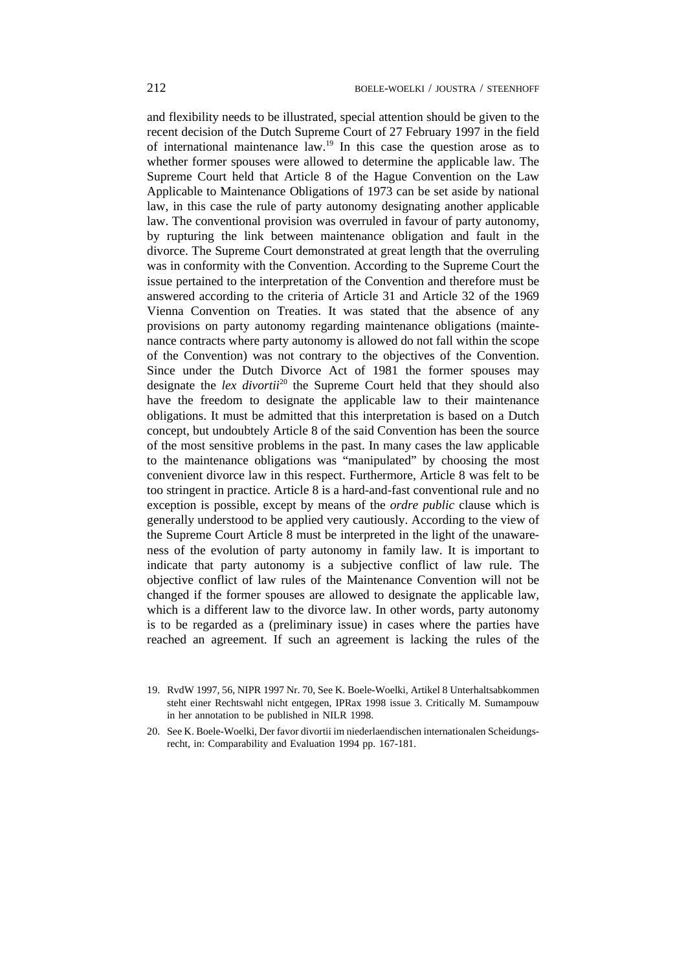and flexibility needs to be illustrated, special attention should be given to the recent decision of the Dutch Supreme Court of 27 February 1997 in the field of international maintenance law.19 In this case the question arose as to whether former spouses were allowed to determine the applicable law. The Supreme Court held that Article 8 of the Hague Convention on the Law Applicable to Maintenance Obligations of 1973 can be set aside by national law, in this case the rule of party autonomy designating another applicable law. The conventional provision was overruled in favour of party autonomy, by rupturing the link between maintenance obligation and fault in the divorce. The Supreme Court demonstrated at great length that the overruling was in conformity with the Convention. According to the Supreme Court the issue pertained to the interpretation of the Convention and therefore must be answered according to the criteria of Article 31 and Article 32 of the 1969 Vienna Convention on Treaties. It was stated that the absence of any provisions on party autonomy regarding maintenance obligations (maintenance contracts where party autonomy is allowed do not fall within the scope of the Convention) was not contrary to the objectives of the Convention. Since under the Dutch Divorce Act of 1981 the former spouses may designate the *lex divortii*<sup>20</sup> the Supreme Court held that they should also have the freedom to designate the applicable law to their maintenance obligations. It must be admitted that this interpretation is based on a Dutch concept, but undoubtely Article 8 of the said Convention has been the source of the most sensitive problems in the past. In many cases the law applicable to the maintenance obligations was "manipulated" by choosing the most convenient divorce law in this respect. Furthermore, Article 8 was felt to be too stringent in practice. Article 8 is a hard-and-fast conventional rule and no exception is possible, except by means of the *ordre public* clause which is generally understood to be applied very cautiously. According to the view of the Supreme Court Article 8 must be interpreted in the light of the unawareness of the evolution of party autonomy in family law. It is important to indicate that party autonomy is a subjective conflict of law rule. The objective conflict of law rules of the Maintenance Convention will not be changed if the former spouses are allowed to designate the applicable law, which is a different law to the divorce law. In other words, party autonomy is to be regarded as a (preliminary issue) in cases where the parties have reached an agreement. If such an agreement is lacking the rules of the

- 19. RvdW 1997, 56, NIPR 1997 Nr. 70, See K. Boele-Woelki, Artikel 8 Unterhaltsabkommen steht einer Rechtswahl nicht entgegen, IPRax 1998 issue 3. Critically M. Sumampouw in her annotation to be published in NILR 1998.
- 20. See K. Boele-Woelki, Der favor divortii im niederlaendischen internationalen Scheidungsrecht, in: Comparability and Evaluation 1994 pp. 167-181.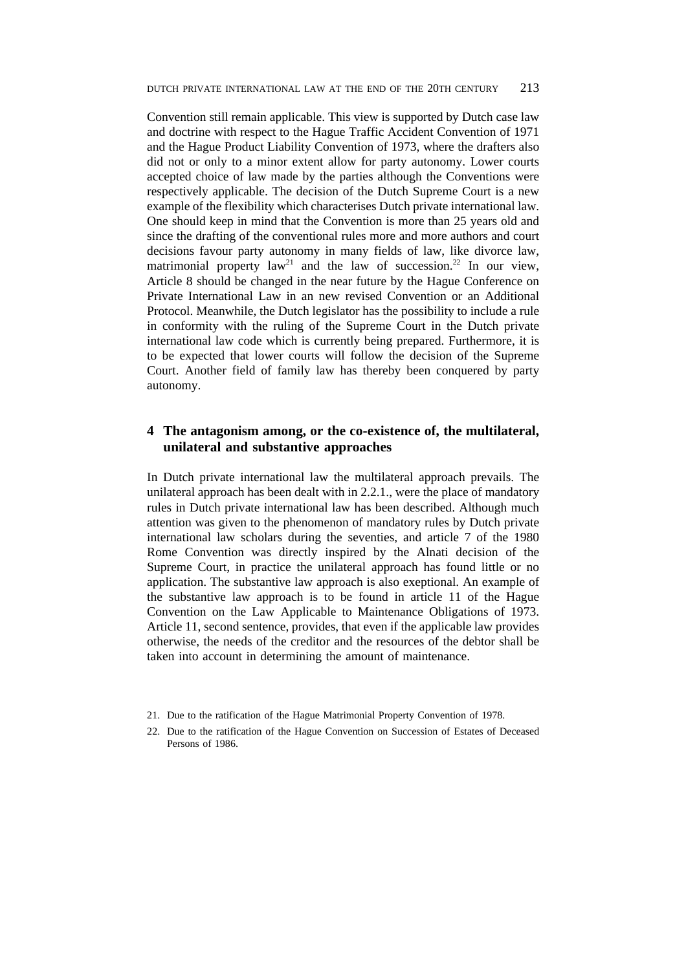Convention still remain applicable. This view is supported by Dutch case law and doctrine with respect to the Hague Traffic Accident Convention of 1971 and the Hague Product Liability Convention of 1973, where the drafters also did not or only to a minor extent allow for party autonomy. Lower courts accepted choice of law made by the parties although the Conventions were respectively applicable. The decision of the Dutch Supreme Court is a new example of the flexibility which characterises Dutch private international law. One should keep in mind that the Convention is more than 25 years old and since the drafting of the conventional rules more and more authors and court decisions favour party autonomy in many fields of law, like divorce law, matrimonial property law<sup>21</sup> and the law of succession.<sup>22</sup> In our view, Article 8 should be changed in the near future by the Hague Conference on Private International Law in an new revised Convention or an Additional Protocol. Meanwhile, the Dutch legislator has the possibility to include a rule in conformity with the ruling of the Supreme Court in the Dutch private international law code which is currently being prepared. Furthermore, it is to be expected that lower courts will follow the decision of the Supreme Court. Another field of family law has thereby been conquered by party autonomy.

# **4 The antagonism among, or the co-existence of, the multilateral, unilateral and substantive approaches**

In Dutch private international law the multilateral approach prevails. The unilateral approach has been dealt with in 2.2.1., were the place of mandatory rules in Dutch private international law has been described. Although much attention was given to the phenomenon of mandatory rules by Dutch private international law scholars during the seventies, and article 7 of the 1980 Rome Convention was directly inspired by the Alnati decision of the Supreme Court, in practice the unilateral approach has found little or no application. The substantive law approach is also exeptional. An example of the substantive law approach is to be found in article 11 of the Hague Convention on the Law Applicable to Maintenance Obligations of 1973. Article 11, second sentence, provides, that even if the applicable law provides otherwise, the needs of the creditor and the resources of the debtor shall be taken into account in determining the amount of maintenance.

<sup>21.</sup> Due to the ratification of the Hague Matrimonial Property Convention of 1978.

<sup>22.</sup> Due to the ratification of the Hague Convention on Succession of Estates of Deceased Persons of 1986.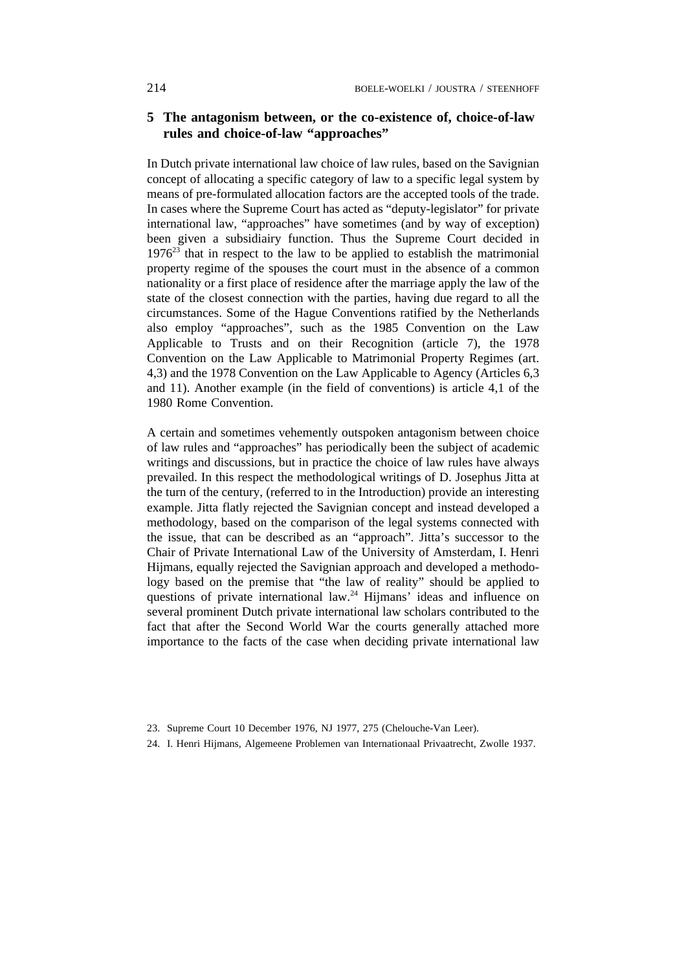# **5 The antagonism between, or the co-existence of, choice-of-law rules and choice-of-law "approaches"**

In Dutch private international law choice of law rules, based on the Savignian concept of allocating a specific category of law to a specific legal system by means of pre-formulated allocation factors are the accepted tools of the trade. In cases where the Supreme Court has acted as "deputy-legislator" for private international law, "approaches" have sometimes (and by way of exception) been given a subsidiairy function. Thus the Supreme Court decided in  $1976<sup>23</sup>$  that in respect to the law to be applied to establish the matrimonial property regime of the spouses the court must in the absence of a common nationality or a first place of residence after the marriage apply the law of the state of the closest connection with the parties, having due regard to all the circumstances. Some of the Hague Conventions ratified by the Netherlands also employ "approaches", such as the 1985 Convention on the Law Applicable to Trusts and on their Recognition (article 7), the 1978 Convention on the Law Applicable to Matrimonial Property Regimes (art. 4,3) and the 1978 Convention on the Law Applicable to Agency (Articles 6,3 and 11). Another example (in the field of conventions) is article 4,1 of the 1980 Rome Convention.

A certain and sometimes vehemently outspoken antagonism between choice of law rules and "approaches" has periodically been the subject of academic writings and discussions, but in practice the choice of law rules have always prevailed. In this respect the methodological writings of D. Josephus Jitta at the turn of the century, (referred to in the Introduction) provide an interesting example. Jitta flatly rejected the Savignian concept and instead developed a methodology, based on the comparison of the legal systems connected with the issue, that can be described as an "approach". Jitta's successor to the Chair of Private International Law of the University of Amsterdam, I. Henri Hijmans, equally rejected the Savignian approach and developed a methodology based on the premise that "the law of reality" should be applied to questions of private international law.<sup>24</sup> Hijmans' ideas and influence on several prominent Dutch private international law scholars contributed to the fact that after the Second World War the courts generally attached more importance to the facts of the case when deciding private international law

24. I. Henri Hijmans, Algemeene Problemen van Internationaal Privaatrecht, Zwolle 1937.

<sup>23.</sup> Supreme Court 10 December 1976, NJ 1977, 275 (Chelouche-Van Leer).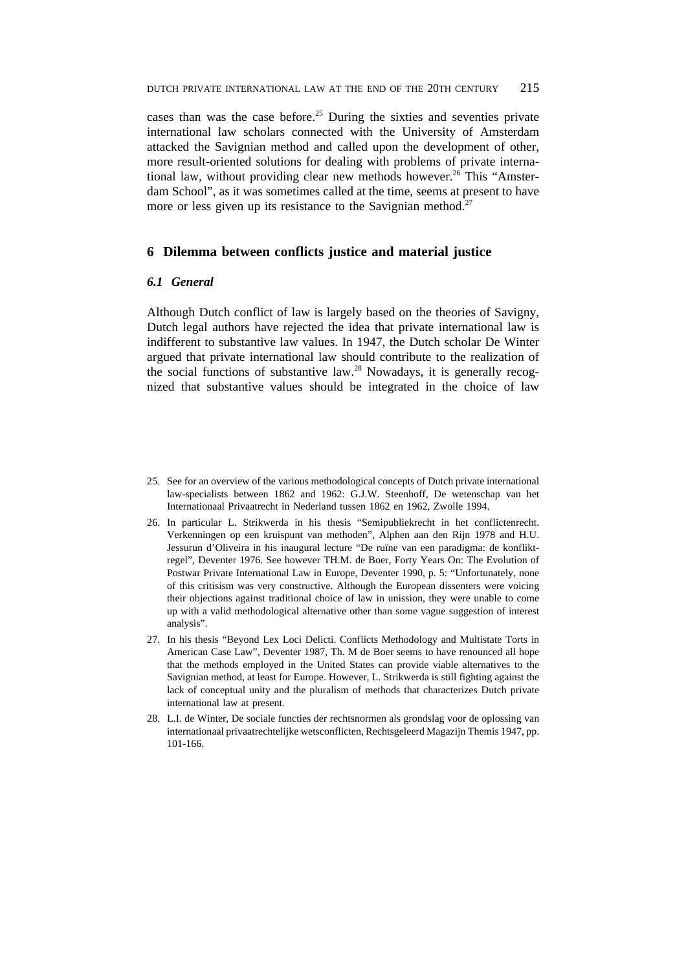cases than was the case before.<sup>25</sup> During the sixties and seventies private international law scholars connected with the University of Amsterdam attacked the Savignian method and called upon the development of other, more result-oriented solutions for dealing with problems of private international law, without providing clear new methods however.<sup>26</sup> This "Amsterdam School", as it was sometimes called at the time, seems at present to have more or less given up its resistance to the Savignian method.<sup>27</sup>

### **6 Dilemma between conflicts justice and material justice**

### *6.1 General*

Although Dutch conflict of law is largely based on the theories of Savigny, Dutch legal authors have rejected the idea that private international law is indifferent to substantive law values. In 1947, the Dutch scholar De Winter argued that private international law should contribute to the realization of the social functions of substantive law.28 Nowadays, it is generally recognized that substantive values should be integrated in the choice of law

- 25. See for an overview of the various methodological concepts of Dutch private international law-specialists between 1862 and 1962: G.J.W. Steenhoff, De wetenschap van het Internationaal Privaatrecht in Nederland tussen 1862 en 1962, Zwolle 1994.
- 26. In particular L. Strikwerda in his thesis "Semipubliekrecht in het conflictenrecht. Verkenningen op een kruispunt van methoden", Alphen aan den Rijn 1978 and H.U. Jessurun d'Oliveira in his inaugural lecture "De ruïne van een paradigma: de konfliktregel", Deventer 1976. See however TH.M. de Boer, Forty Years On: The Evolution of Postwar Private International Law in Europe, Deventer 1990, p. 5: "Unfortunately, none of this critisism was very constructive. Although the European dissenters were voicing their objections against traditional choice of law in unission, they were unable to come up with a valid methodological alternative other than some vague suggestion of interest analysis".
- 27. In his thesis "Beyond Lex Loci Delicti. Conflicts Methodology and Multistate Torts in American Case Law", Deventer 1987, Th. M de Boer seems to have renounced all hope that the methods employed in the United States can provide viable alternatives to the Savignian method, at least for Europe. However, L. Strikwerda is still fighting against the lack of conceptual unity and the pluralism of methods that characterizes Dutch private international law at present.
- 28. L.I. de Winter, De sociale functies der rechtsnormen als grondslag voor de oplossing van internationaal privaatrechtelijke wetsconflicten, Rechtsgeleerd Magazijn Themis 1947, pp. 101-166.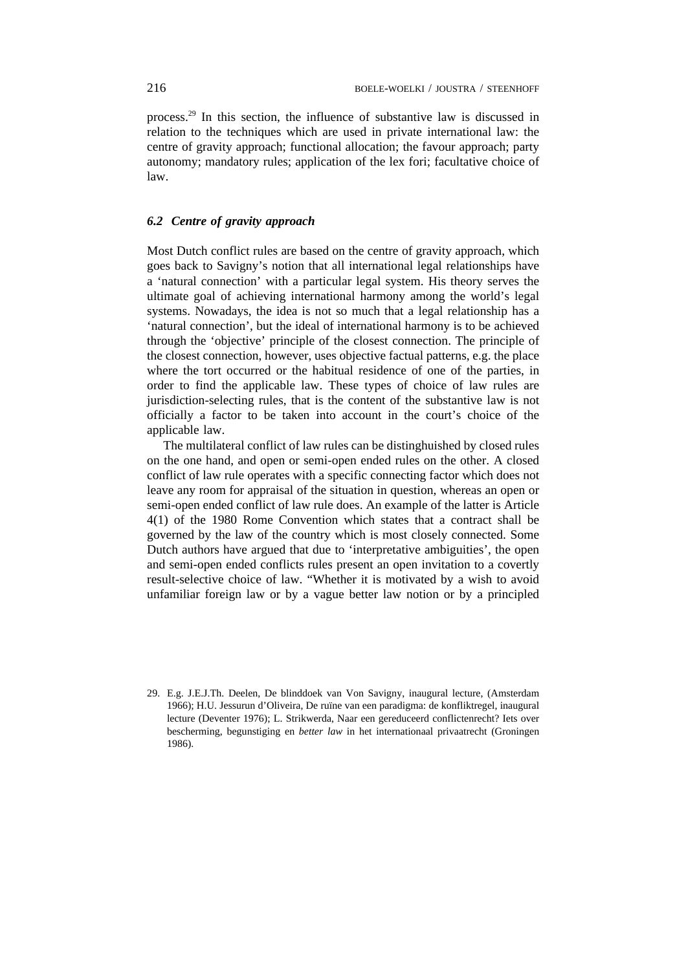process.29 In this section, the influence of substantive law is discussed in relation to the techniques which are used in private international law: the centre of gravity approach; functional allocation; the favour approach; party autonomy; mandatory rules; application of the lex fori; facultative choice of law.

# *6.2 Centre of gravity approach*

Most Dutch conflict rules are based on the centre of gravity approach, which goes back to Savigny's notion that all international legal relationships have a 'natural connection' with a particular legal system. His theory serves the ultimate goal of achieving international harmony among the world's legal systems. Nowadays, the idea is not so much that a legal relationship has a 'natural connection', but the ideal of international harmony is to be achieved through the 'objective' principle of the closest connection. The principle of the closest connection, however, uses objective factual patterns, e.g. the place where the tort occurred or the habitual residence of one of the parties, in order to find the applicable law. These types of choice of law rules are jurisdiction-selecting rules, that is the content of the substantive law is not officially a factor to be taken into account in the court's choice of the applicable law.

The multilateral conflict of law rules can be distinghuished by closed rules on the one hand, and open or semi-open ended rules on the other. A closed conflict of law rule operates with a specific connecting factor which does not leave any room for appraisal of the situation in question, whereas an open or semi-open ended conflict of law rule does. An example of the latter is Article 4(1) of the 1980 Rome Convention which states that a contract shall be governed by the law of the country which is most closely connected. Some Dutch authors have argued that due to 'interpretative ambiguities', the open and semi-open ended conflicts rules present an open invitation to a covertly result-selective choice of law. "Whether it is motivated by a wish to avoid unfamiliar foreign law or by a vague better law notion or by a principled

<sup>29.</sup> E.g. J.E.J.Th. Deelen, De blinddoek van Von Savigny, inaugural lecture, (Amsterdam 1966); H.U. Jessurun d'Oliveira, De ruïne van een paradigma: de konfliktregel, inaugural lecture (Deventer 1976); L. Strikwerda, Naar een gereduceerd conflictenrecht? Iets over bescherming, begunstiging en *better law* in het internationaal privaatrecht (Groningen 1986).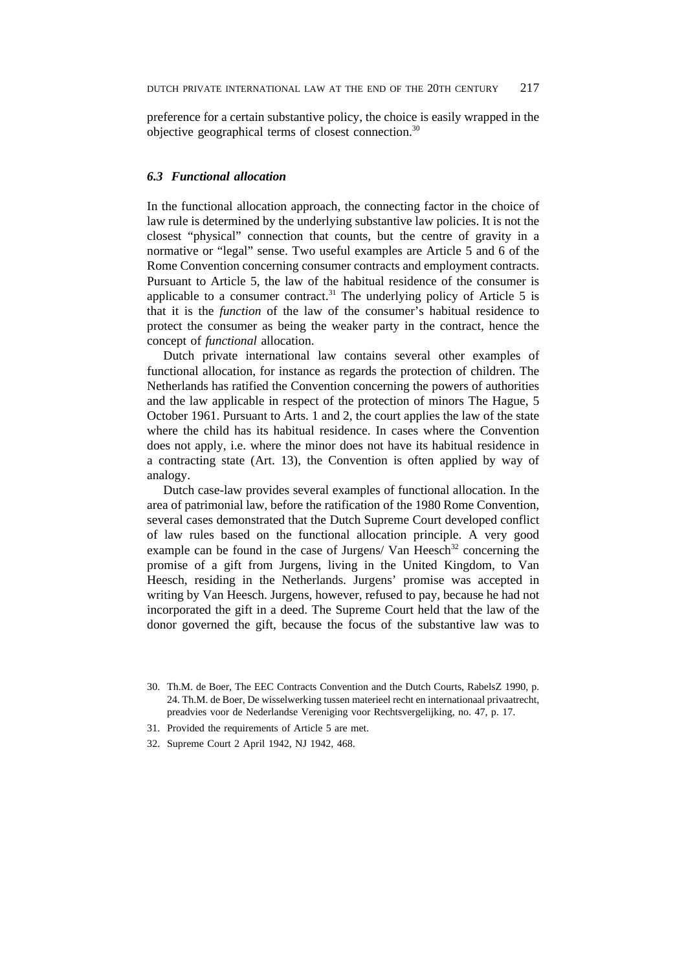preference for a certain substantive policy, the choice is easily wrapped in the objective geographical terms of closest connection.30

### *6.3 Functional allocation*

In the functional allocation approach, the connecting factor in the choice of law rule is determined by the underlying substantive law policies. It is not the closest "physical" connection that counts, but the centre of gravity in a normative or "legal" sense. Two useful examples are Article 5 and 6 of the Rome Convention concerning consumer contracts and employment contracts. Pursuant to Article 5, the law of the habitual residence of the consumer is applicable to a consumer contract.<sup>31</sup> The underlying policy of Article 5 is that it is the *function* of the law of the consumer's habitual residence to protect the consumer as being the weaker party in the contract, hence the concept of *functional* allocation.

Dutch private international law contains several other examples of functional allocation, for instance as regards the protection of children. The Netherlands has ratified the Convention concerning the powers of authorities and the law applicable in respect of the protection of minors The Hague, 5 October 1961. Pursuant to Arts. 1 and 2, the court applies the law of the state where the child has its habitual residence. In cases where the Convention does not apply, i.e. where the minor does not have its habitual residence in a contracting state (Art. 13), the Convention is often applied by way of analogy.

Dutch case-law provides several examples of functional allocation. In the area of patrimonial law, before the ratification of the 1980 Rome Convention, several cases demonstrated that the Dutch Supreme Court developed conflict of law rules based on the functional allocation principle. A very good example can be found in the case of Jurgens/ Van Heesch<sup>32</sup> concerning the promise of a gift from Jurgens, living in the United Kingdom, to Van Heesch, residing in the Netherlands. Jurgens' promise was accepted in writing by Van Heesch. Jurgens, however, refused to pay, because he had not incorporated the gift in a deed. The Supreme Court held that the law of the donor governed the gift, because the focus of the substantive law was to

- 31. Provided the requirements of Article 5 are met.
- 32. Supreme Court 2 April 1942, NJ 1942, 468.

<sup>30.</sup> Th.M. de Boer, The EEC Contracts Convention and the Dutch Courts, RabelsZ 1990, p. 24. Th.M. de Boer, De wisselwerking tussen materieel recht en internationaal privaatrecht, preadvies voor de Nederlandse Vereniging voor Rechtsvergelijking, no. 47, p. 17.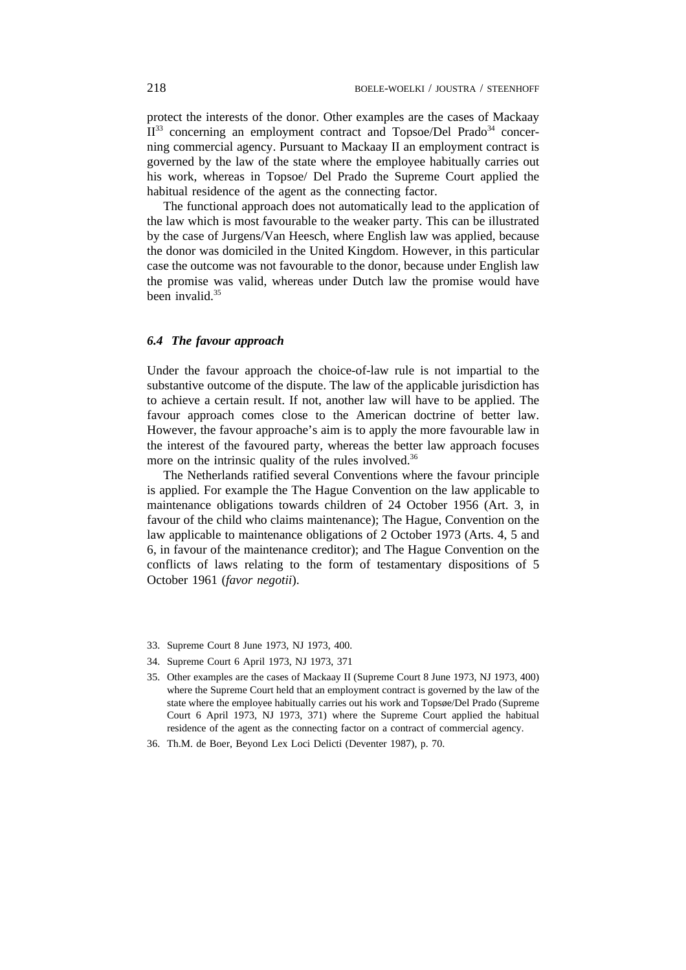protect the interests of the donor. Other examples are the cases of Mackaay  $II^{33}$  concerning an employment contract and Topsoe/Del Prado<sup>34</sup> concerning commercial agency. Pursuant to Mackaay II an employment contract is governed by the law of the state where the employee habitually carries out his work, whereas in Topsoe/ Del Prado the Supreme Court applied the habitual residence of the agent as the connecting factor.

The functional approach does not automatically lead to the application of the law which is most favourable to the weaker party. This can be illustrated by the case of Jurgens/Van Heesch, where English law was applied, because the donor was domiciled in the United Kingdom. However, in this particular case the outcome was not favourable to the donor, because under English law the promise was valid, whereas under Dutch law the promise would have been invalid.35

### *6.4 The favour approach*

Under the favour approach the choice-of-law rule is not impartial to the substantive outcome of the dispute. The law of the applicable jurisdiction has to achieve a certain result. If not, another law will have to be applied. The favour approach comes close to the American doctrine of better law. However, the favour approache's aim is to apply the more favourable law in the interest of the favoured party, whereas the better law approach focuses more on the intrinsic quality of the rules involved.<sup>36</sup>

The Netherlands ratified several Conventions where the favour principle is applied. For example the The Hague Convention on the law applicable to maintenance obligations towards children of 24 October 1956 (Art. 3, in favour of the child who claims maintenance); The Hague, Convention on the law applicable to maintenance obligations of 2 October 1973 (Arts. 4, 5 and 6, in favour of the maintenance creditor); and The Hague Convention on the conflicts of laws relating to the form of testamentary dispositions of 5 October 1961 (*favor negotii*).

- 33. Supreme Court 8 June 1973, NJ 1973, 400.
- 34. Supreme Court 6 April 1973, NJ 1973, 371
- 35. Other examples are the cases of Mackaay II (Supreme Court 8 June 1973, NJ 1973, 400) where the Supreme Court held that an employment contract is governed by the law of the state where the employee habitually carries out his work and Topsøe/Del Prado (Supreme Court 6 April 1973, NJ 1973, 371) where the Supreme Court applied the habitual residence of the agent as the connecting factor on a contract of commercial agency.
- 36. Th.M. de Boer, Beyond Lex Loci Delicti (Deventer 1987), p. 70.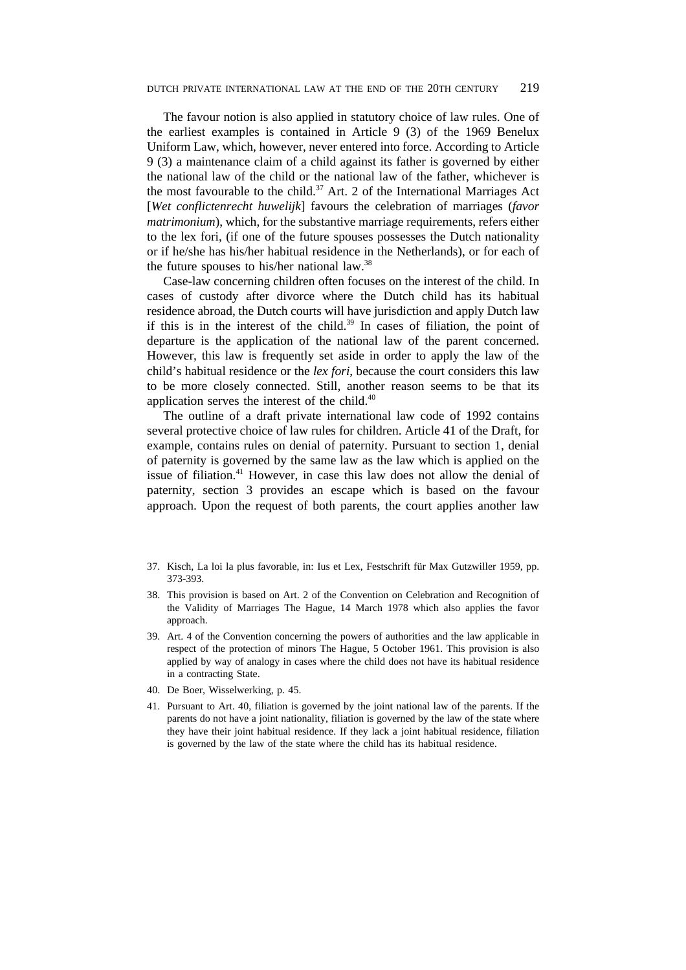The favour notion is also applied in statutory choice of law rules. One of the earliest examples is contained in Article 9 (3) of the 1969 Benelux Uniform Law, which, however, never entered into force. According to Article 9 (3) a maintenance claim of a child against its father is governed by either the national law of the child or the national law of the father, whichever is the most favourable to the child.<sup>37</sup> Art. 2 of the International Marriages Act [*Wet conflictenrecht huwelijk*] favours the celebration of marriages (*favor matrimonium*), which, for the substantive marriage requirements, refers either to the lex fori, (if one of the future spouses possesses the Dutch nationality or if he/she has his/her habitual residence in the Netherlands), or for each of the future spouses to his/her national law.38

Case-law concerning children often focuses on the interest of the child. In cases of custody after divorce where the Dutch child has its habitual residence abroad, the Dutch courts will have jurisdiction and apply Dutch law if this is in the interest of the child.<sup>39</sup> In cases of filiation, the point of departure is the application of the national law of the parent concerned. However, this law is frequently set aside in order to apply the law of the child's habitual residence or the *lex fori*, because the court considers this law to be more closely connected. Still, another reason seems to be that its application serves the interest of the child.<sup>40</sup>

The outline of a draft private international law code of 1992 contains several protective choice of law rules for children. Article 41 of the Draft, for example, contains rules on denial of paternity. Pursuant to section 1, denial of paternity is governed by the same law as the law which is applied on the issue of filiation.<sup>41</sup> However, in case this law does not allow the denial of paternity, section 3 provides an escape which is based on the favour approach. Upon the request of both parents, the court applies another law

- 37. Kisch, La loi la plus favorable, in: Ius et Lex, Festschrift für Max Gutzwiller 1959, pp. 373-393.
- 38. This provision is based on Art. 2 of the Convention on Celebration and Recognition of the Validity of Marriages The Hague, 14 March 1978 which also applies the favor approach.
- 39. Art. 4 of the Convention concerning the powers of authorities and the law applicable in respect of the protection of minors The Hague, 5 October 1961. This provision is also applied by way of analogy in cases where the child does not have its habitual residence in a contracting State.
- 40. De Boer, Wisselwerking, p. 45.
- 41. Pursuant to Art. 40, filiation is governed by the joint national law of the parents. If the parents do not have a joint nationality, filiation is governed by the law of the state where they have their joint habitual residence. If they lack a joint habitual residence, filiation is governed by the law of the state where the child has its habitual residence.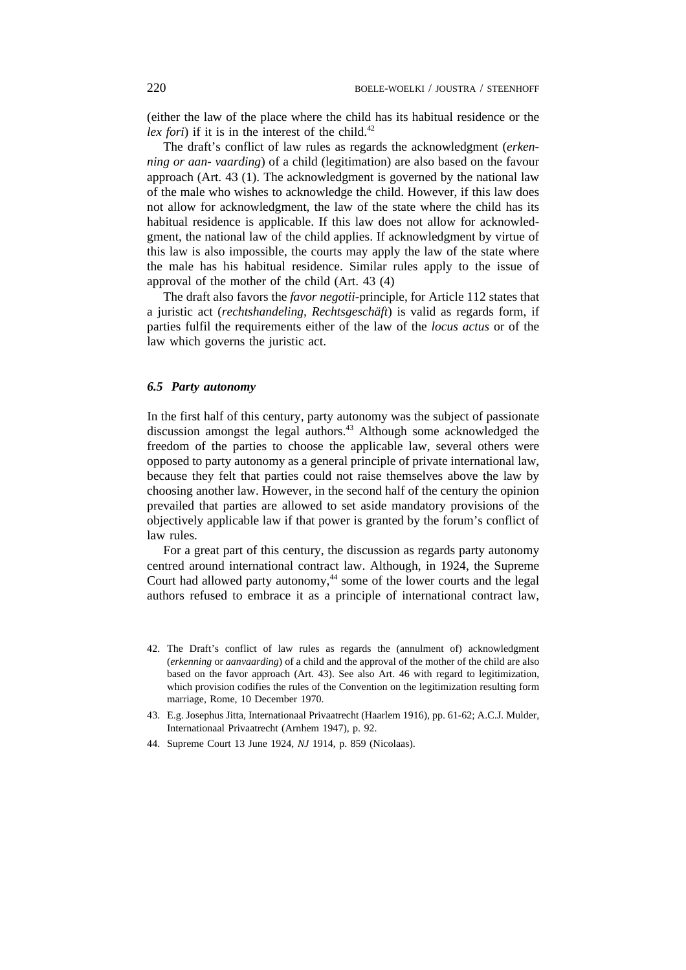(either the law of the place where the child has its habitual residence or the *lex fori*) if it is in the interest of the child.<sup>42</sup>

The draft's conflict of law rules as regards the acknowledgment (*erkenning or aan- vaarding*) of a child (legitimation) are also based on the favour approach (Art. 43 (1). The acknowledgment is governed by the national law of the male who wishes to acknowledge the child. However, if this law does not allow for acknowledgment, the law of the state where the child has its habitual residence is applicable. If this law does not allow for acknowledgment, the national law of the child applies. If acknowledgment by virtue of this law is also impossible, the courts may apply the law of the state where the male has his habitual residence. Similar rules apply to the issue of approval of the mother of the child (Art. 43 (4)

The draft also favors the *favor negotii*-principle, for Article 112 states that a juristic act (*rechtshandeling, Rechtsgeschäft*) is valid as regards form, if parties fulfil the requirements either of the law of the *locus actus* or of the law which governs the juristic act.

### *6.5 Party autonomy*

In the first half of this century, party autonomy was the subject of passionate discussion amongst the legal authors.<sup>43</sup> Although some acknowledged the freedom of the parties to choose the applicable law, several others were opposed to party autonomy as a general principle of private international law, because they felt that parties could not raise themselves above the law by choosing another law. However, in the second half of the century the opinion prevailed that parties are allowed to set aside mandatory provisions of the objectively applicable law if that power is granted by the forum's conflict of law rules.

For a great part of this century, the discussion as regards party autonomy centred around international contract law. Although, in 1924, the Supreme Court had allowed party autonomy,<sup>44</sup> some of the lower courts and the legal authors refused to embrace it as a principle of international contract law,

- 42. The Draft's conflict of law rules as regards the (annulment of) acknowledgment (*erkenning* or *aanvaarding*) of a child and the approval of the mother of the child are also based on the favor approach (Art. 43). See also Art. 46 with regard to legitimization, which provision codifies the rules of the Convention on the legitimization resulting form marriage, Rome, 10 December 1970.
- 43. E.g. Josephus Jitta, Internationaal Privaatrecht (Haarlem 1916), pp. 61-62; A.C.J. Mulder, Internationaal Privaatrecht (Arnhem 1947), p. 92.
- 44. Supreme Court 13 June 1924, *NJ* 1914, p. 859 (Nicolaas).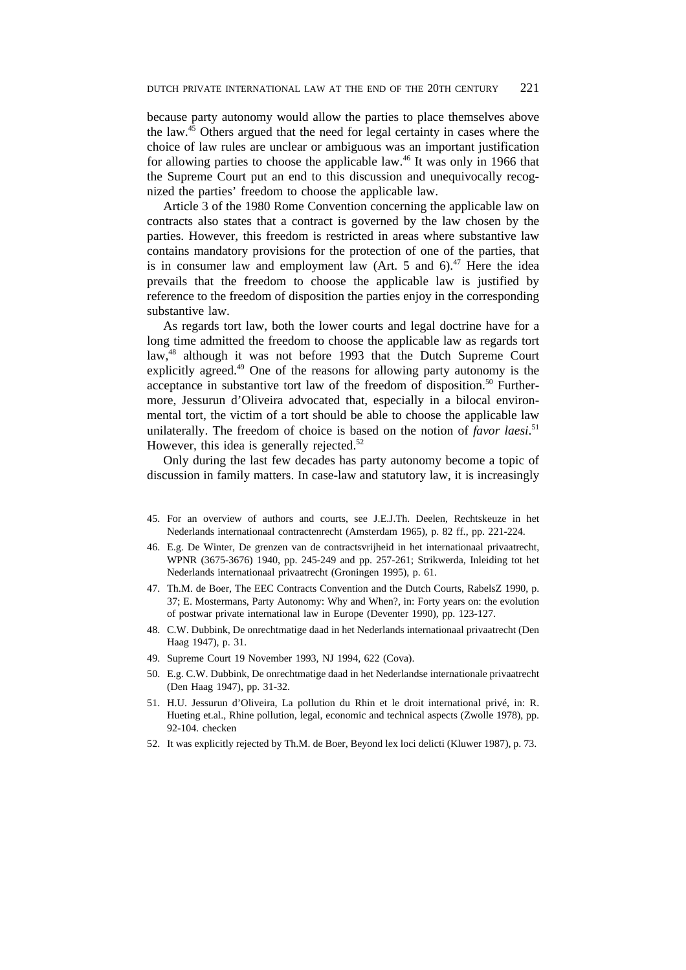because party autonomy would allow the parties to place themselves above the law.45 Others argued that the need for legal certainty in cases where the choice of law rules are unclear or ambiguous was an important justification for allowing parties to choose the applicable law.<sup>46</sup> It was only in 1966 that the Supreme Court put an end to this discussion and unequivocally recognized the parties' freedom to choose the applicable law.

Article 3 of the 1980 Rome Convention concerning the applicable law on contracts also states that a contract is governed by the law chosen by the parties. However, this freedom is restricted in areas where substantive law contains mandatory provisions for the protection of one of the parties, that is in consumer law and employment law (Art. 5 and  $6$ ).<sup>47</sup> Here the idea prevails that the freedom to choose the applicable law is justified by reference to the freedom of disposition the parties enjoy in the corresponding substantive law.

As regards tort law, both the lower courts and legal doctrine have for a long time admitted the freedom to choose the applicable law as regards tort law,<sup>48</sup> although it was not before 1993 that the Dutch Supreme Court explicitly agreed.<sup>49</sup> One of the reasons for allowing party autonomy is the acceptance in substantive tort law of the freedom of disposition.<sup>50</sup> Furthermore, Jessurun d'Oliveira advocated that, especially in a bilocal environmental tort, the victim of a tort should be able to choose the applicable law unilaterally. The freedom of choice is based on the notion of *favor laesi*. 51 However, this idea is generally rejected.<sup>52</sup>

Only during the last few decades has party autonomy become a topic of discussion in family matters. In case-law and statutory law, it is increasingly

- 45. For an overview of authors and courts, see J.E.J.Th. Deelen, Rechtskeuze in het Nederlands internationaal contractenrecht (Amsterdam 1965), p. 82 ff., pp. 221-224.
- 46. E.g. De Winter, De grenzen van de contractsvrijheid in het internationaal privaatrecht, WPNR (3675-3676) 1940, pp. 245-249 and pp. 257-261; Strikwerda, Inleiding tot het Nederlands internationaal privaatrecht (Groningen 1995), p. 61.
- 47. Th.M. de Boer, The EEC Contracts Convention and the Dutch Courts, RabelsZ 1990, p. 37; E. Mostermans, Party Autonomy: Why and When?, in: Forty years on: the evolution of postwar private international law in Europe (Deventer 1990), pp. 123-127.
- 48. C.W. Dubbink, De onrechtmatige daad in het Nederlands internationaal privaatrecht (Den Haag 1947), p. 31.
- 49. Supreme Court 19 November 1993, NJ 1994, 622 (Cova).
- 50. E.g. C.W. Dubbink, De onrechtmatige daad in het Nederlandse internationale privaatrecht (Den Haag 1947), pp. 31-32.
- 51. H.U. Jessurun d'Oliveira, La pollution du Rhin et le droit international privé, in: R. Hueting et.al., Rhine pollution, legal, economic and technical aspects (Zwolle 1978), pp. 92-104. checken
- 52. It was explicitly rejected by Th.M. de Boer, Beyond lex loci delicti (Kluwer 1987), p. 73.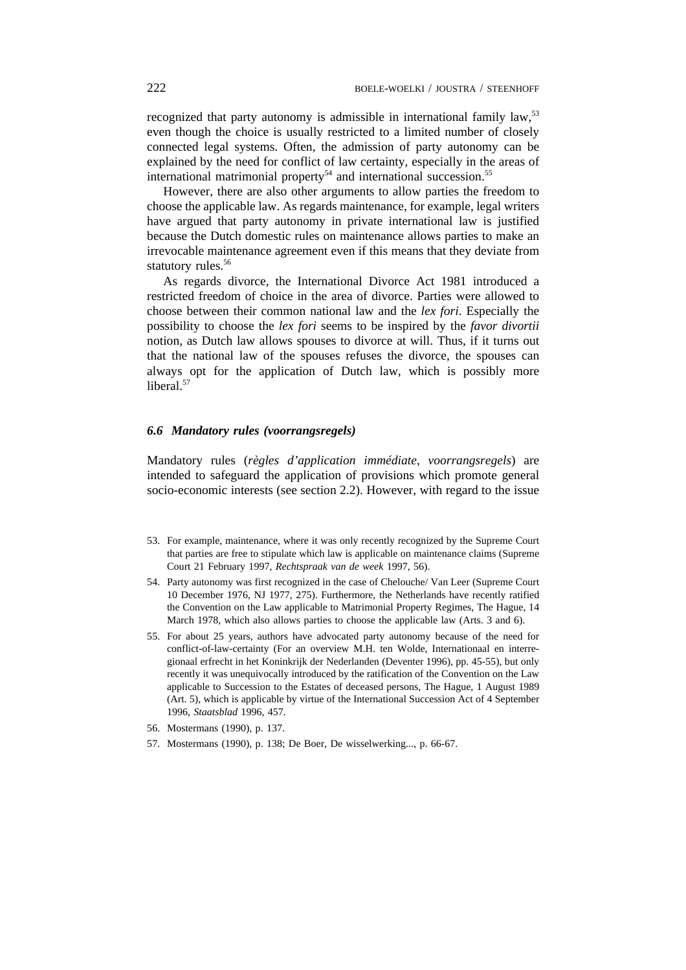recognized that party autonomy is admissible in international family law,<sup>53</sup> even though the choice is usually restricted to a limited number of closely connected legal systems. Often, the admission of party autonomy can be explained by the need for conflict of law certainty, especially in the areas of international matrimonial property<sup>54</sup> and international succession.<sup>55</sup>

However, there are also other arguments to allow parties the freedom to choose the applicable law. As regards maintenance, for example, legal writers have argued that party autonomy in private international law is justified because the Dutch domestic rules on maintenance allows parties to make an irrevocable maintenance agreement even if this means that they deviate from statutory rules.<sup>56</sup>

As regards divorce, the International Divorce Act 1981 introduced a restricted freedom of choice in the area of divorce. Parties were allowed to choose between their common national law and the *lex fori*. Especially the possibility to choose the *lex fori* seems to be inspired by the *favor divortii* notion, as Dutch law allows spouses to divorce at will. Thus, if it turns out that the national law of the spouses refuses the divorce, the spouses can always opt for the application of Dutch law, which is possibly more liberal.<sup>57</sup>

### *6.6 Mandatory rules (voorrangsregels)*

Mandatory rules (*règles d'application immédiate*, *voorrangsregels*) are intended to safeguard the application of provisions which promote general socio-economic interests (see section 2.2). However, with regard to the issue

- 53. For example, maintenance, where it was only recently recognized by the Supreme Court that parties are free to stipulate which law is applicable on maintenance claims (Supreme Court 21 February 1997, *Rechtspraak van de week* 1997, 56).
- 54. Party autonomy was first recognized in the case of Chelouche/ Van Leer (Supreme Court 10 December 1976, NJ 1977, 275). Furthermore, the Netherlands have recently ratified the Convention on the Law applicable to Matrimonial Property Regimes, The Hague, 14 March 1978, which also allows parties to choose the applicable law (Arts. 3 and 6).
- 55. For about 25 years, authors have advocated party autonomy because of the need for conflict-of-law-certainty (For an overview M.H. ten Wolde, Internationaal en interregionaal erfrecht in het Koninkrijk der Nederlanden (Deventer 1996), pp. 45-55), but only recently it was unequivocally introduced by the ratification of the Convention on the Law applicable to Succession to the Estates of deceased persons, The Hague, 1 August 1989 (Art. 5), which is applicable by virtue of the International Succession Act of 4 September 1996, *Staatsblad* 1996, 457.
- 56. Mostermans (1990), p. 137.
- 57. Mostermans (1990), p. 138; De Boer, De wisselwerking..., p. 66-67.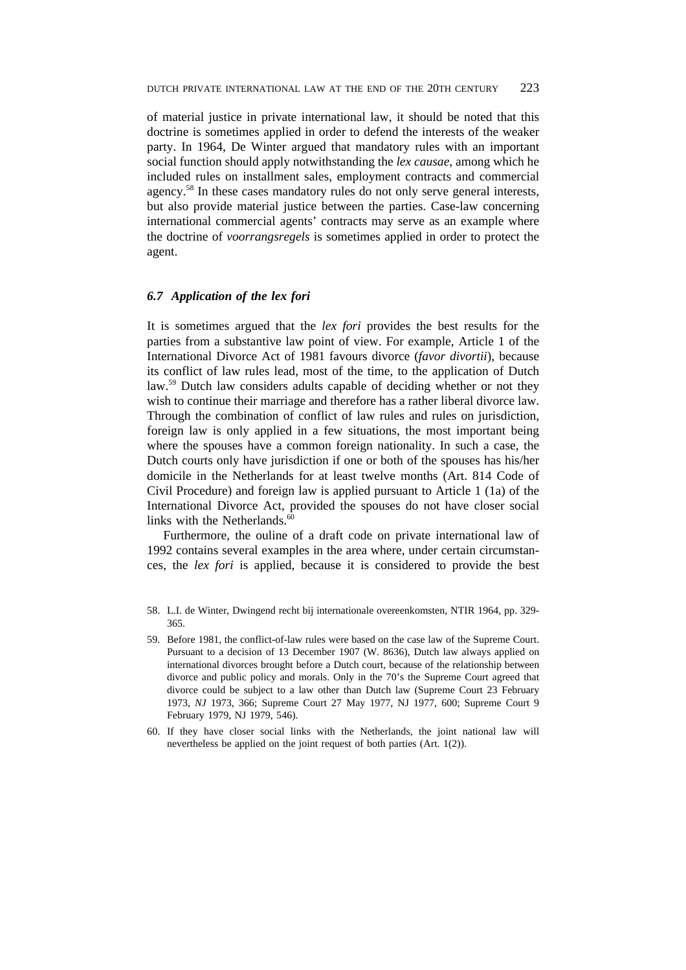of material justice in private international law, it should be noted that this doctrine is sometimes applied in order to defend the interests of the weaker party. In 1964, De Winter argued that mandatory rules with an important social function should apply notwithstanding the *lex causae*, among which he included rules on installment sales, employment contracts and commercial agency.58 In these cases mandatory rules do not only serve general interests, but also provide material justice between the parties. Case-law concerning international commercial agents' contracts may serve as an example where the doctrine of *voorrangsregels* is sometimes applied in order to protect the agent.

### *6.7 Application of the lex fori*

It is sometimes argued that the *lex fori* provides the best results for the parties from a substantive law point of view. For example, Article 1 of the International Divorce Act of 1981 favours divorce (*favor divortii*), because its conflict of law rules lead, most of the time, to the application of Dutch law.<sup>59</sup> Dutch law considers adults capable of deciding whether or not they wish to continue their marriage and therefore has a rather liberal divorce law. Through the combination of conflict of law rules and rules on jurisdiction, foreign law is only applied in a few situations, the most important being where the spouses have a common foreign nationality. In such a case, the Dutch courts only have jurisdiction if one or both of the spouses has his/her domicile in the Netherlands for at least twelve months (Art. 814 Code of Civil Procedure) and foreign law is applied pursuant to Article 1 (1a) of the International Divorce Act, provided the spouses do not have closer social links with the Netherlands. $60$ 

Furthermore, the ouline of a draft code on private international law of 1992 contains several examples in the area where, under certain circumstances, the *lex fori* is applied, because it is considered to provide the best

- 59. Before 1981, the conflict-of-law rules were based on the case law of the Supreme Court. Pursuant to a decision of 13 December 1907 (W. 8636), Dutch law always applied on international divorces brought before a Dutch court, because of the relationship between divorce and public policy and morals. Only in the 70's the Supreme Court agreed that divorce could be subject to a law other than Dutch law (Supreme Court 23 February 1973, *NJ* 1973, 366; Supreme Court 27 May 1977, NJ 1977, 600; Supreme Court 9 February 1979, NJ 1979, 546).
- 60. If they have closer social links with the Netherlands, the joint national law will nevertheless be applied on the joint request of both parties (Art. 1(2)).

<sup>58.</sup> L.I. de Winter, Dwingend recht bij internationale overeenkomsten, NTIR 1964, pp. 329- 365.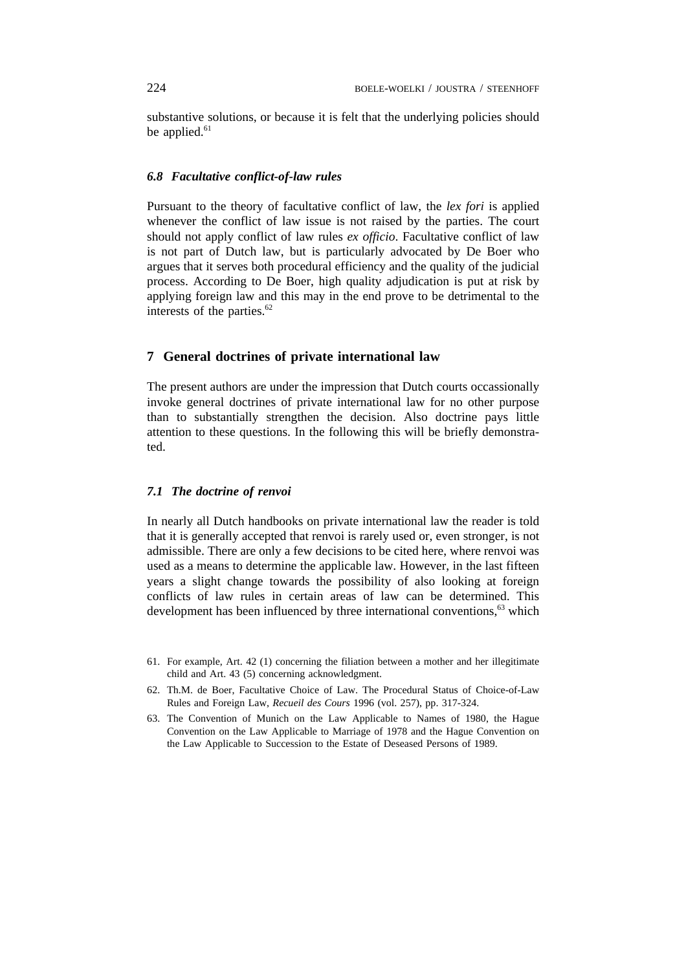substantive solutions, or because it is felt that the underlying policies should be applied.<sup>61</sup>

### *6.8 Facultative conflict-of-law rules*

Pursuant to the theory of facultative conflict of law, the *lex fori* is applied whenever the conflict of law issue is not raised by the parties. The court should not apply conflict of law rules *ex officio*. Facultative conflict of law is not part of Dutch law, but is particularly advocated by De Boer who argues that it serves both procedural efficiency and the quality of the judicial process. According to De Boer, high quality adjudication is put at risk by applying foreign law and this may in the end prove to be detrimental to the interests of the parties. $62$ 

# **7 General doctrines of private international law**

The present authors are under the impression that Dutch courts occassionally invoke general doctrines of private international law for no other purpose than to substantially strengthen the decision. Also doctrine pays little attention to these questions. In the following this will be briefly demonstrated.

### *7.1 The doctrine of renvoi*

In nearly all Dutch handbooks on private international law the reader is told that it is generally accepted that renvoi is rarely used or, even stronger, is not admissible. There are only a few decisions to be cited here, where renvoi was used as a means to determine the applicable law. However, in the last fifteen years a slight change towards the possibility of also looking at foreign conflicts of law rules in certain areas of law can be determined. This development has been influenced by three international conventions,<sup>63</sup> which

- 61. For example, Art. 42 (1) concerning the filiation between a mother and her illegitimate child and Art. 43 (5) concerning acknowledgment.
- 62. Th.M. de Boer, Facultative Choice of Law. The Procedural Status of Choice-of-Law Rules and Foreign Law, *Recueil des Cours* 1996 (vol. 257), pp. 317-324.
- 63. The Convention of Munich on the Law Applicable to Names of 1980, the Hague Convention on the Law Applicable to Marriage of 1978 and the Hague Convention on the Law Applicable to Succession to the Estate of Deseased Persons of 1989.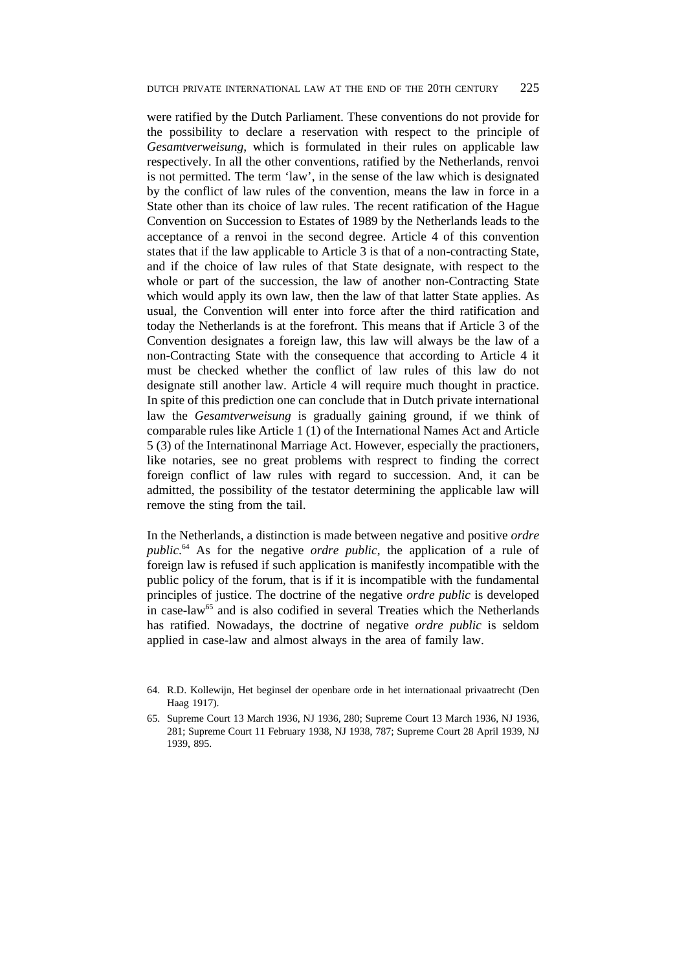were ratified by the Dutch Parliament. These conventions do not provide for the possibility to declare a reservation with respect to the principle of *Gesamtverweisung*, which is formulated in their rules on applicable law respectively. In all the other conventions, ratified by the Netherlands, renvoi is not permitted. The term 'law', in the sense of the law which is designated by the conflict of law rules of the convention, means the law in force in a State other than its choice of law rules. The recent ratification of the Hague Convention on Succession to Estates of 1989 by the Netherlands leads to the acceptance of a renvoi in the second degree. Article 4 of this convention states that if the law applicable to Article 3 is that of a non-contracting State, and if the choice of law rules of that State designate, with respect to the whole or part of the succession, the law of another non-Contracting State which would apply its own law, then the law of that latter State applies. As usual, the Convention will enter into force after the third ratification and today the Netherlands is at the forefront. This means that if Article 3 of the Convention designates a foreign law, this law will always be the law of a non-Contracting State with the consequence that according to Article 4 it must be checked whether the conflict of law rules of this law do not designate still another law. Article 4 will require much thought in practice. In spite of this prediction one can conclude that in Dutch private international law the *Gesamtverweisung* is gradually gaining ground, if we think of comparable rules like Article 1 (1) of the International Names Act and Article 5 (3) of the Internatinonal Marriage Act. However, especially the practioners, like notaries, see no great problems with resprect to finding the correct foreign conflict of law rules with regard to succession. And, it can be admitted, the possibility of the testator determining the applicable law will remove the sting from the tail.

In the Netherlands, a distinction is made between negative and positive *ordre public*. <sup>64</sup> As for the negative *ordre public*, the application of a rule of foreign law is refused if such application is manifestly incompatible with the public policy of the forum, that is if it is incompatible with the fundamental principles of justice. The doctrine of the negative *ordre public* is developed in case-law<sup>65</sup> and is also codified in several Treaties which the Netherlands has ratified. Nowadays, the doctrine of negative *ordre public* is seldom applied in case-law and almost always in the area of family law.

- 64. R.D. Kollewijn, Het beginsel der openbare orde in het internationaal privaatrecht (Den Haag 1917).
- 65. Supreme Court 13 March 1936, NJ 1936, 280; Supreme Court 13 March 1936, NJ 1936, 281; Supreme Court 11 February 1938, NJ 1938, 787; Supreme Court 28 April 1939, NJ 1939, 895.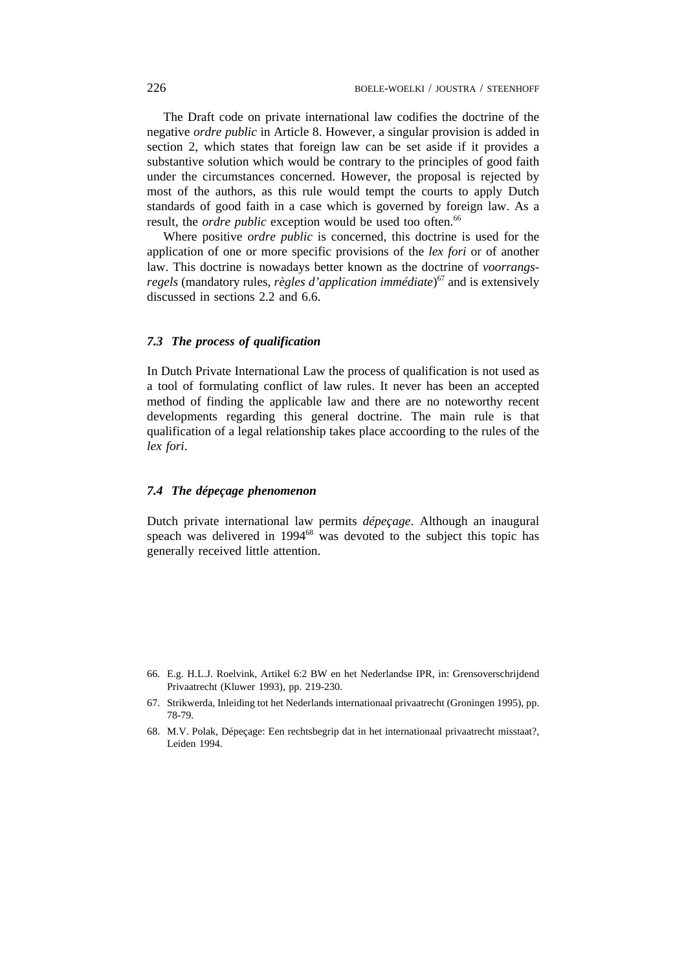The Draft code on private international law codifies the doctrine of the negative *ordre public* in Article 8. However, a singular provision is added in section 2, which states that foreign law can be set aside if it provides a substantive solution which would be contrary to the principles of good faith under the circumstances concerned. However, the proposal is rejected by most of the authors, as this rule would tempt the courts to apply Dutch standards of good faith in a case which is governed by foreign law. As a result, the *ordre public* exception would be used too often.<sup>66</sup>

Where positive *ordre public* is concerned, this doctrine is used for the application of one or more specific provisions of the *lex fori* or of another law. This doctrine is nowadays better known as the doctrine of *voorrangsregels* (mandatory rules, *règles d'application immédiate*) <sup>67</sup> and is extensively discussed in sections 2.2 and 6.6.

# *7.3 The process of qualification*

In Dutch Private International Law the process of qualification is not used as a tool of formulating conflict of law rules. It never has been an accepted method of finding the applicable law and there are no noteworthy recent developments regarding this general doctrine. The main rule is that qualification of a legal relationship takes place accoording to the rules of the *lex fori*.

### *7.4 The dépeçage phenomenon*

Dutch private international law permits *dépeçage*. Although an inaugural speach was delivered in 1994<sup>68</sup> was devoted to the subject this topic has generally received little attention.

- 66. E.g. H.L.J. Roelvink, Artikel 6:2 BW en het Nederlandse IPR, in: Grensoverschrijdend Privaatrecht (Kluwer 1993), pp. 219-230.
- 67. Strikwerda, Inleiding tot het Nederlands internationaal privaatrecht (Groningen 1995), pp. 78-79.
- 68. M.V. Polak, Dépeçage: Een rechtsbegrip dat in het internationaal privaatrecht misstaat?, Leiden 1994.